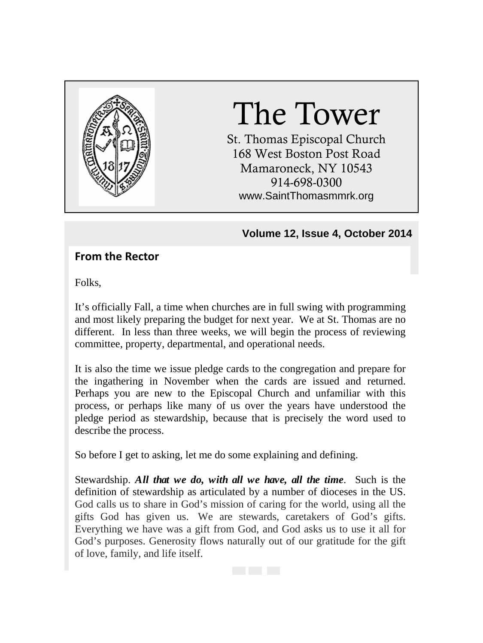

# The Tower

St. Thomas Episcopal Church 168 West Boston Post Road Mamaroneck, NY 10543 914-698-0300 www.SaintThomasmmrk.org

### **Volume 12, Issue 4, October 2014**

## **From the Rector**

Folks,

It's officially Fall, a time when churches are in full swing with programming and most likely preparing the budget for next year. We at St. Thomas are no different. In less than three weeks, we will begin the process of reviewing committee, property, departmental, and operational needs.

It is also the time we issue pledge cards to the congregation and prepare for the ingathering in November when the cards are issued and returned. Perhaps you are new to the Episcopal Church and unfamiliar with this process, or perhaps like many of us over the years have understood the pledge period as stewardship, because that is precisely the word used to describe the process.

So before I get to asking, let me do some explaining and defining.

Stewardship. *All that we do, with all we have, all the time*. Such is the definition of stewardship as articulated by a number of dioceses in the US. God calls us to share in God's mission of caring for the world, using all the gifts God has given us. We are stewards, caretakers of God's gifts. Everything we have was a gift from God, and God asks us to use it all for God's purposes. Generosity flows naturally out of our gratitude for the gift of love, family, and life itself.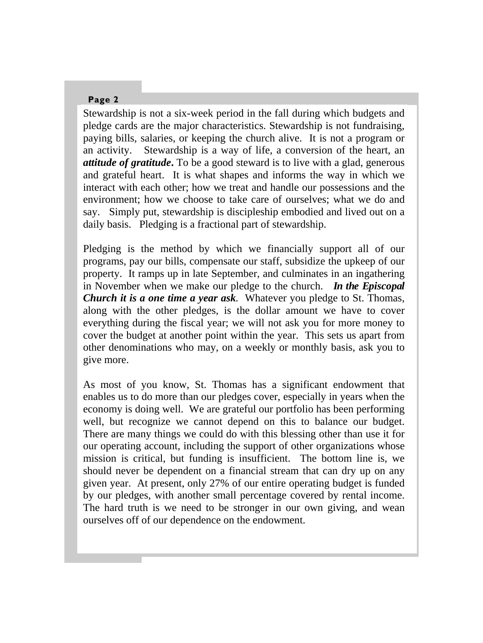Stewardship is not a six-week period in the fall during which budgets and pledge cards are the major characteristics. Stewardship is not fundraising, paying bills, salaries, or keeping the church alive. It is not a program or an activity. Stewardship is a way of life, a conversion of the heart, an *attitude of gratitude***.** To be a good steward is to live with a glad, generous and grateful heart. It is what shapes and informs the way in which we interact with each other; how we treat and handle our possessions and the environment; how we choose to take care of ourselves; what we do and say. Simply put, stewardship is discipleship embodied and lived out on a daily basis. Pledging is a fractional part of stewardship.

Pledging is the method by which we financially support all of our programs, pay our bills, compensate our staff, subsidize the upkeep of our property. It ramps up in late September, and culminates in an ingathering in November when we make our pledge to the church. *In the Episcopal Church it is a one time a year ask.* Whatever you pledge to St. Thomas, along with the other pledges, is the dollar amount we have to cover everything during the fiscal year; we will not ask you for more money to cover the budget at another point within the year. This sets us apart from other denominations who may, on a weekly or monthly basis, ask you to give more.

As most of you know, St. Thomas has a significant endowment that enables us to do more than our pledges cover, especially in years when the economy is doing well. We are grateful our portfolio has been performing well, but recognize we cannot depend on this to balance our budget. There are many things we could do with this blessing other than use it for our operating account, including the support of other organizations whose mission is critical, but funding is insufficient. The bottom line is, we should never be dependent on a financial stream that can dry up on any given year. At present, only 27% of our entire operating budget is funded by our pledges, with another small percentage covered by rental income. The hard truth is we need to be stronger in our own giving, and wean ourselves off of our dependence on the endowment.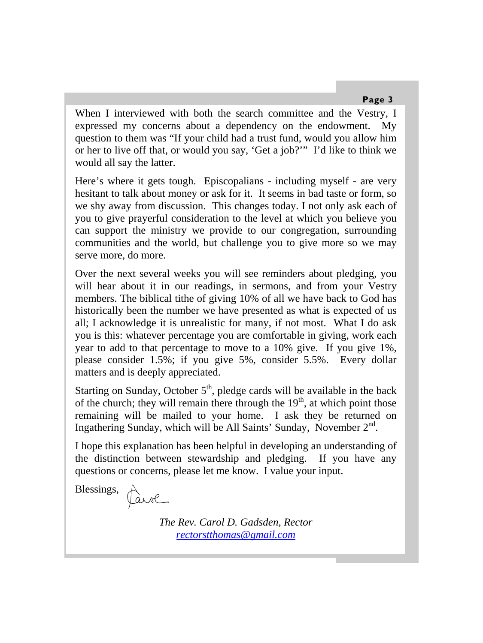When I interviewed with both the search committee and the Vestry, I expressed my concerns about a dependency on the endowment. My question to them was "If your child had a trust fund, would you allow him or her to live off that, or would you say, 'Get a job?'" I'd like to think we would all say the latter.

Here's where it gets tough. Episcopalians - including myself - are very hesitant to talk about money or ask for it. It seems in bad taste or form, so we shy away from discussion. This changes today. I not only ask each of you to give prayerful consideration to the level at which you believe you can support the ministry we provide to our congregation, surrounding communities and the world, but challenge you to give more so we may serve more, do more.

Over the next several weeks you will see reminders about pledging, you will hear about it in our readings, in sermons, and from your Vestry members. The biblical tithe of giving 10% of all we have back to God has historically been the number we have presented as what is expected of us all; I acknowledge it is unrealistic for many, if not most. What I do ask you is this: whatever percentage you are comfortable in giving, work each year to add to that percentage to move to a 10% give. If you give 1%, please consider 1.5%; if you give 5%, consider 5.5%. Every dollar matters and is deeply appreciated.

Starting on Sunday, October  $5<sup>th</sup>$ , pledge cards will be available in the back of the church; they will remain there through the  $19<sup>th</sup>$ , at which point those remaining will be mailed to your home. I ask they be returned on Ingathering Sunday, which will be All Saints' Sunday, November  $2<sup>nd</sup>$ .

I hope this explanation has been helpful in developing an understanding of the distinction between stewardship and pledging. If you have any questions or concerns, please let me know. I value your input.

Blessings,

Parol

*The Rev. Carol D. Gadsden, Rector rectorstthomas@gmail.com*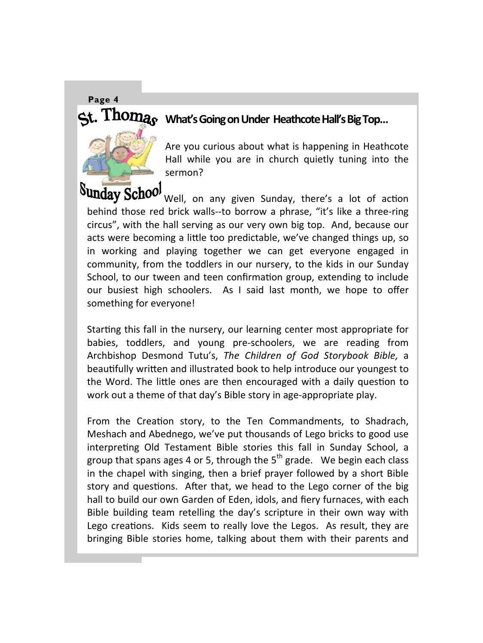# **What's Going on Under Heathcote Hall's Big Top…**



Sunday School <sub>Well, on any given Sunday, there's a lot of action</sub> behind those red brick walls--to borrow a phrase, "it's like a three-ring circus", with the hall serving as our very own big top. And, because our acts were becoming a little too predictable, we've changed things up, so in working and playing together we can get everyone engaged in community, from the toddlers in our nursery, to the kids in our Sunday School, to our tween and teen confirmation group, extending to include our busiest high schoolers. As I said last month, we hope to offer something for everyone!

Starting this fall in the nursery, our learning center most appropriate for babies, toddlers, and young pre‐schoolers, we are reading from Archbishop Desmond Tutu's, *The Children of God Storybook Bible,* a beautifully written and illustrated book to help introduce our youngest to the Word. The little ones are then encouraged with a daily question to work out a theme of that day's Bible story in age‐appropriate play.

From the Creation story, to the Ten Commandments, to Shadrach, Meshach and Abednego, we've put thousands of Lego bricks to good use interpreting Old Testament Bible stories this fall in Sunday School, a group that spans ages 4 or 5, through the  $5<sup>th</sup>$  grade. We begin each class in the chapel with singing, then a brief prayer followed by a short Bible story and questions. After that, we head to the Lego corner of the big hall to build our own Garden of Eden, idols, and fiery furnaces, with each Bible building team retelling the day's scripture in their own way with Lego creations. Kids seem to really love the Legos. As result, they are bringing Bible stories home, talking about them with their parents and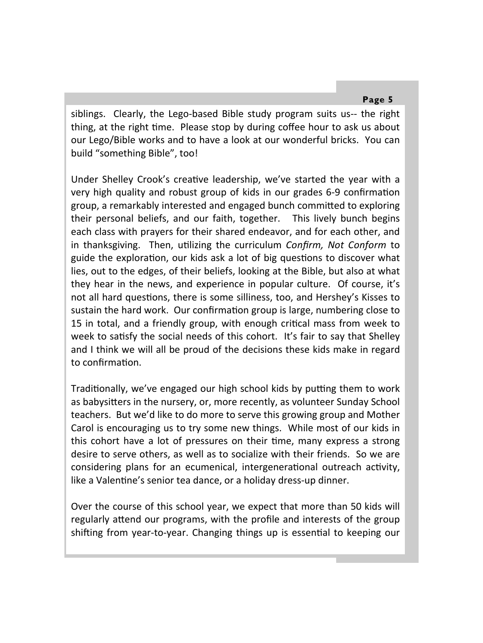siblings. Clearly, the Lego-based Bible study program suits us-- the right thing, at the right time. Please stop by during coffee hour to ask us about our Lego/Bible works and to have a look at our wonderful bricks. You can build "something Bible", too!

Under Shelley Crook's creative leadership, we've started the year with a very high quality and robust group of kids in our grades 6-9 confirmation group, a remarkably interested and engaged bunch committed to exploring their personal beliefs, and our faith, together. This lively bunch begins each class with prayers for their shared endeavor, and for each other, and in thanksgiving. Then, uƟlizing the curriculum *Confirm, Not Conform* to guide the exploration, our kids ask a lot of big questions to discover what lies, out to the edges, of their beliefs, looking at the Bible, but also at what they hear in the news, and experience in popular culture. Of course, it's not all hard questions, there is some silliness, too, and Hershey's Kisses to sustain the hard work. Our confirmation group is large, numbering close to 15 in total, and a friendly group, with enough critical mass from week to week to satisfy the social needs of this cohort. It's fair to say that Shelley and I think we will all be proud of the decisions these kids make in regard to confirmaƟon.

Traditionally, we've engaged our high school kids by putting them to work as babysitters in the nursery, or, more recently, as volunteer Sunday School teachers. But we'd like to do more to serve this growing group and Mother Carol is encouraging us to try some new things. While most of our kids in this cohort have a lot of pressures on their time, many express a strong desire to serve others, as well as to socialize with their friends. So we are considering plans for an ecumenical, intergenerational outreach activity, like a Valentine's senior tea dance, or a holiday dress-up dinner.

Over the course of this school year, we expect that more than 50 kids will regularly attend our programs, with the profile and interests of the group shifting from year-to-year. Changing things up is essential to keeping our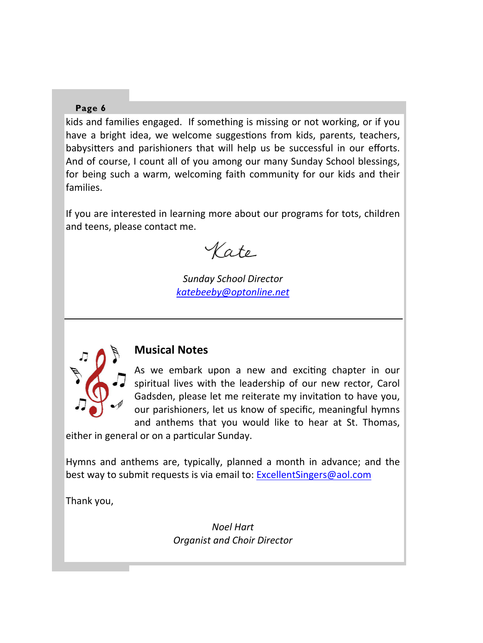kids and families engaged. If something is missing or not working, or if you have a bright idea, we welcome suggestions from kids, parents, teachers, babysitters and parishioners that will help us be successful in our efforts. And of course, I count all of you among our many Sunday School blessings, for being such a warm, welcoming faith community for our kids and their families.

If you are interested in learning more about our programs for tots, children and teens, please contact me.

Kate

*Sunday School Director katebeeby@optonline.net*



#### **Musical Notes**

As we embark upon a new and exciting chapter in our spiritual lives with the leadership of our new rector, Carol Gadsden, please let me reiterate my invitation to have you, our parishioners, let us know of specific, meaningful hymns and anthems that you would like to hear at St. Thomas,

either in general or on a particular Sunday.

Hymns and anthems are, typically, planned a month in advance; and the best way to submit requests is via email to: **ExcellentSingers@aol.com** 

Thank you,

*Noel Hart Organist and Choir Director*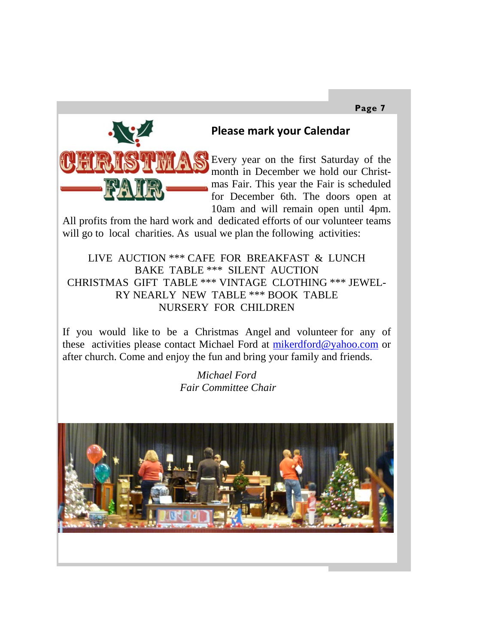

### **Please mark your Calendar**

Every year on the first Saturday of the month in December we hold our Christmas Fair. This year the Fair is scheduled for December 6th. The doors open at 10am and will remain open until 4pm.

All profits from the hard work and dedicated efforts of our volunteer teams will go to local charities. As usual we plan the following activities:

LIVE AUCTION \*\*\* CAFE FOR BREAKFAST & LUNCH BAKE TABLE \*\*\* SILENT AUCTION CHRISTMAS GIFT TABLE \*\*\* VINTAGE CLOTHING \*\*\* JEWEL-RY NEARLY NEW TABLE \*\*\* BOOK TABLE NURSERY FOR CHILDREN

If you would like to be a Christmas Angel and volunteer for any of these activities please contact Michael Ford at mikerdford@yahoo.com or after church. Come and enjoy the fun and bring your family and friends.

> *Michael Ford Fair Committee Chair*

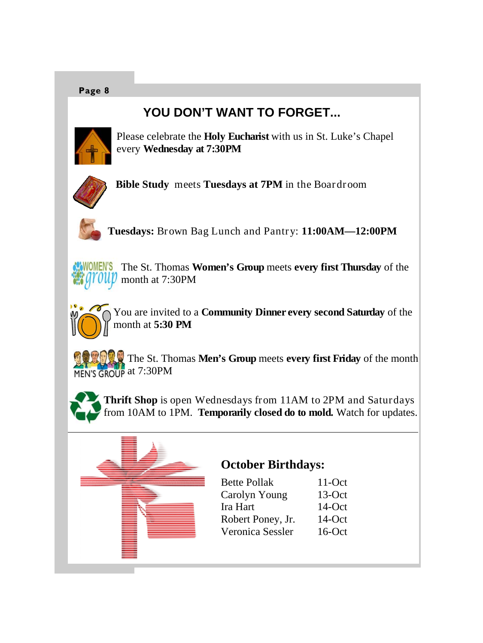# **YOU DON'T WANT TO FORGET...**



Please celebrate the **Holy Eucharist** with us in St. Luke's Chapel every **Wednesday at 7:30PM**



**Bible Study** meets **Tuesdays at 7PM** in the Boardroom



**Tuesdays:** Brown Bag Lunch and Pantry: **11:00AM—12:00PM** 

**WOMEN'S** The St. Thomas **Women's Group** meets **every first Thursday** of the month at 7:30PM



You are invited to a **Community Dinner every second Saturday** of the month at **5:30 PM** 

The St. Thomas **Men's Group** meets **every first Friday** of the month MEN'S GROUP at 7:30PM

**Thrift Shop** is open Wednesdays from 11AM to 2PM and Saturdays from 10AM to 1PM. **Temporarily closed do to mold.** Watch for updates.



# **October Birthdays:**

| <b>Bette Pollak</b> | $11$ -Oct |
|---------------------|-----------|
| Carolyn Young       | $13-Oct$  |
| Ira Hart            | $14$ -Oct |
| Robert Poney, Jr.   | $14$ -Oct |
| Veronica Sessler    | $16$ -Oct |
|                     |           |